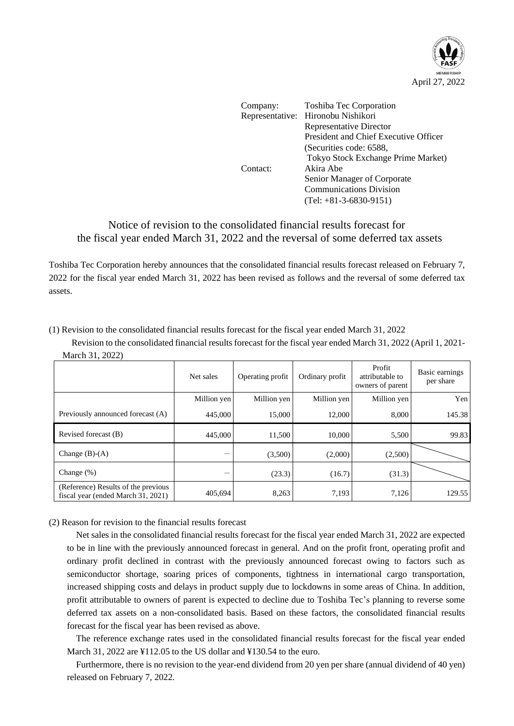

| Toshiba Tec Corporation               |
|---------------------------------------|
| Representative: Hironobu Nishikori    |
| <b>Representative Director</b>        |
| President and Chief Executive Officer |
| (Securities code: 6588,               |
| Tokyo Stock Exchange Prime Market)    |
| Akira Abe                             |
| Senior Manager of Corporate           |
| <b>Communications Division</b>        |
| $(Tel: +81-3-6830-9151)$              |
|                                       |

## Notice of revision to the consolidated financial results forecast for the fiscal year ended March 31, 2022 and the reversal of some deferred tax assets

Toshiba Tec Corporation hereby announces that the consolidated financial results forecast released on February 7, 2022 for the fiscal year ended March 31, 2022 has been revised as follows and the reversal of some deferred tax assets.

(1) Revision to the consolidated financial results forecast for the fiscal year ended March 31, 2022

Revision to the consolidated financial results forecast for the fiscal year ended March 31, 2022 (April 1, 2021- March 31, 2022)

|                                                                           | Net sales   | Operating profit | Ordinary profit | Profit<br>attributable to<br>owners of parent | Basic earnings<br>per share |
|---------------------------------------------------------------------------|-------------|------------------|-----------------|-----------------------------------------------|-----------------------------|
|                                                                           | Million yen | Million yen      | Million yen     | Million yen                                   | Yen                         |
| Previously announced forecast (A)                                         | 445,000     | 15,000           | 12,000          | 8,000                                         | 145.38                      |
| Revised forecast (B)                                                      | 445,000     | 11.500           | 10.000          | 5,500                                         | 99.83                       |
| Change $(B)-(A)$                                                          |             | (3,500)          | (2,000)         | (2,500)                                       |                             |
| Change $(\%)$                                                             |             | (23.3)           | (16.7)          | (31.3)                                        |                             |
| (Reference) Results of the previous<br>fiscal year (ended March 31, 2021) | 405,694     | 8,263            | 7,193           | 7,126                                         | 129.55                      |

(2) Reason for revision to the financial results forecast

Net sales in the consolidated financial results forecast for the fiscal year ended March 31, 2022 are expected to be in line with the previously announced forecast in general. And on the profit front, operating profit and ordinary profit declined in contrast with the previously announced forecast owing to factors such as semiconductor shortage, soaring prices of components, tightness in international cargo transportation, increased shipping costs and delays in product supply due to lockdowns in some areas of China. In addition, profit attributable to owners of parent is expected to decline due to Toshiba Tec's planning to reverse some deferred tax assets on a non-consolidated basis. Based on these factors, the consolidated financial results forecast for the fiscal year has been revised as above.

The reference exchange rates used in the consolidated financial results forecast for the fiscal year ended March 31, 2022 are ¥112.05 to the US dollar and ¥130.54 to the euro.

Furthermore, there is no revision to the year-end dividend from 20 yen per share (annual dividend of 40 yen) released on February 7, 2022.